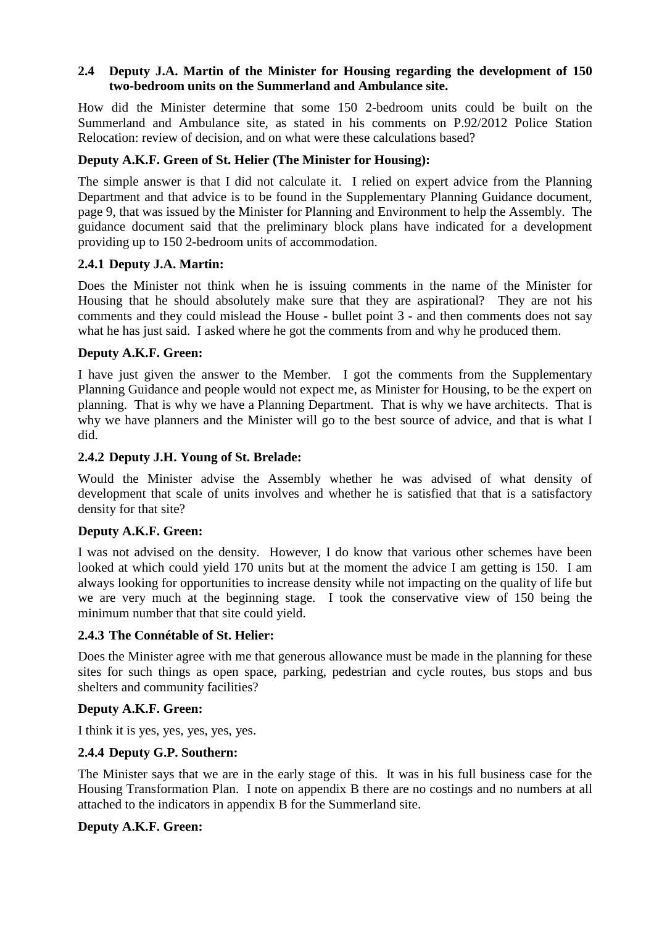#### **2.4 Deputy J.A. Martin of the Minister for Housing regarding the development of 150 two-bedroom units on the Summerland and Ambulance site.**

How did the Minister determine that some 150 2-bedroom units could be built on the Summerland and Ambulance site, as stated in his comments on P.92/2012 Police Station Relocation: review of decision, and on what were these calculations based?

# **Deputy A.K.F. Green of St. Helier (The Minister for Housing):**

The simple answer is that I did not calculate it. I relied on expert advice from the Planning Department and that advice is to be found in the Supplementary Planning Guidance document, page 9, that was issued by the Minister for Planning and Environment to help the Assembly. The guidance document said that the preliminary block plans have indicated for a development providing up to 150 2-bedroom units of accommodation.

### **2.4.1 Deputy J.A. Martin:**

Does the Minister not think when he is issuing comments in the name of the Minister for Housing that he should absolutely make sure that they are aspirational? They are not his comments and they could mislead the House - bullet point 3 - and then comments does not say what he has just said. I asked where he got the comments from and why he produced them.

### **Deputy A.K.F. Green:**

I have just given the answer to the Member. I got the comments from the Supplementary Planning Guidance and people would not expect me, as Minister for Housing, to be the expert on planning. That is why we have a Planning Department. That is why we have architects. That is why we have planners and the Minister will go to the best source of advice, and that is what I did.

### **2.4.2 Deputy J.H. Young of St. Brelade:**

Would the Minister advise the Assembly whether he was advised of what density of development that scale of units involves and whether he is satisfied that that is a satisfactory density for that site?

### **Deputy A.K.F. Green:**

I was not advised on the density. However, I do know that various other schemes have been looked at which could yield 170 units but at the moment the advice I am getting is 150. I am always looking for opportunities to increase density while not impacting on the quality of life but we are very much at the beginning stage. I took the conservative view of 150 being the minimum number that that site could yield.

### **2.4.3 The Connétable of St. Helier:**

Does the Minister agree with me that generous allowance must be made in the planning for these sites for such things as open space, parking, pedestrian and cycle routes, bus stops and bus shelters and community facilities?

### **Deputy A.K.F. Green:**

I think it is yes, yes, yes, yes, yes.

### **2.4.4 Deputy G.P. Southern:**

The Minister says that we are in the early stage of this. It was in his full business case for the Housing Transformation Plan. I note on appendix B there are no costings and no numbers at all attached to the indicators in appendix B for the Summerland site.

### **Deputy A.K.F. Green:**